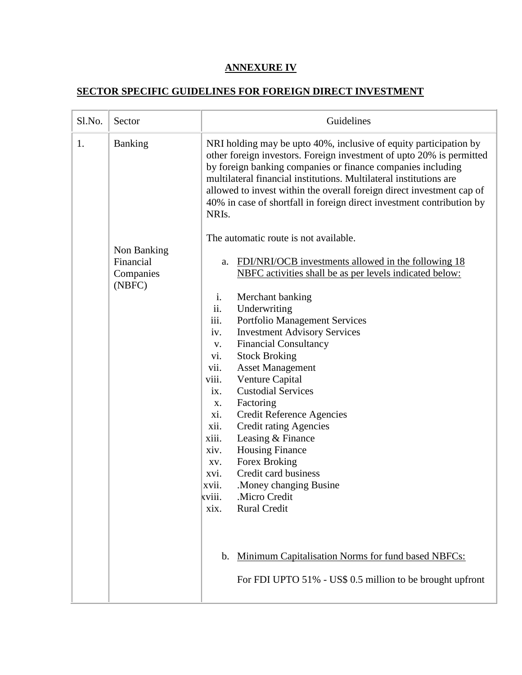## **ANNEXURE IV**

## **SECTOR SPECIFIC GUIDELINES FOR FOREIGN DIRECT INVESTMENT**

| Sl.No. | Sector                           | Guidelines                                                                                                                                                                                                                                                                                                                                                                                                                                             |
|--------|----------------------------------|--------------------------------------------------------------------------------------------------------------------------------------------------------------------------------------------------------------------------------------------------------------------------------------------------------------------------------------------------------------------------------------------------------------------------------------------------------|
| 1.     | <b>Banking</b>                   | NRI holding may be upto 40%, inclusive of equity participation by<br>other foreign investors. Foreign investment of upto 20% is permitted<br>by foreign banking companies or finance companies including<br>multilateral financial institutions. Multilateral institutions are<br>allowed to invest within the overall foreign direct investment cap of<br>40% in case of shortfall in foreign direct investment contribution by<br>NRI <sub>s</sub> . |
|        |                                  | The automatic route is not available.                                                                                                                                                                                                                                                                                                                                                                                                                  |
|        | Non Banking                      |                                                                                                                                                                                                                                                                                                                                                                                                                                                        |
|        | Financial<br>Companies<br>(NBFC) | FDI/NRI/OCB investments allowed in the following 18<br>a.<br>NBFC activities shall be as per levels indicated below:                                                                                                                                                                                                                                                                                                                                   |
|        |                                  | i.<br>Merchant banking                                                                                                                                                                                                                                                                                                                                                                                                                                 |
|        |                                  | ii.<br>Underwriting                                                                                                                                                                                                                                                                                                                                                                                                                                    |
|        |                                  | iii.<br><b>Portfolio Management Services</b>                                                                                                                                                                                                                                                                                                                                                                                                           |
|        |                                  | <b>Investment Advisory Services</b><br>iv.                                                                                                                                                                                                                                                                                                                                                                                                             |
|        |                                  | <b>Financial Consultancy</b><br>V.<br><b>Stock Broking</b><br>vi.                                                                                                                                                                                                                                                                                                                                                                                      |
|        |                                  | <b>Asset Management</b><br>vii.                                                                                                                                                                                                                                                                                                                                                                                                                        |
|        |                                  | viii.<br>Venture Capital                                                                                                                                                                                                                                                                                                                                                                                                                               |
|        |                                  | <b>Custodial Services</b><br>ix.                                                                                                                                                                                                                                                                                                                                                                                                                       |
|        |                                  | Factoring<br>X.                                                                                                                                                                                                                                                                                                                                                                                                                                        |
|        |                                  | xi.<br><b>Credit Reference Agencies</b>                                                                                                                                                                                                                                                                                                                                                                                                                |
|        |                                  | xii.<br><b>Credit rating Agencies</b>                                                                                                                                                                                                                                                                                                                                                                                                                  |
|        |                                  | xiii.<br>Leasing & Finance                                                                                                                                                                                                                                                                                                                                                                                                                             |
|        |                                  | <b>Housing Finance</b><br>xiv.                                                                                                                                                                                                                                                                                                                                                                                                                         |
|        |                                  | Forex Broking<br>XV.<br>Credit card business                                                                                                                                                                                                                                                                                                                                                                                                           |
|        |                                  | xvi.<br>Money changing Busine.<br>xvii.                                                                                                                                                                                                                                                                                                                                                                                                                |
|        |                                  | xviii.<br>Micro Credit.                                                                                                                                                                                                                                                                                                                                                                                                                                |
|        |                                  | <b>Rural Credit</b><br>xix.                                                                                                                                                                                                                                                                                                                                                                                                                            |
|        |                                  |                                                                                                                                                                                                                                                                                                                                                                                                                                                        |
|        |                                  |                                                                                                                                                                                                                                                                                                                                                                                                                                                        |
|        |                                  | Minimum Capitalisation Norms for fund based NBFCs:<br>b.                                                                                                                                                                                                                                                                                                                                                                                               |
|        |                                  | For FDI UPTO 51% - US\$ 0.5 million to be brought upfront                                                                                                                                                                                                                                                                                                                                                                                              |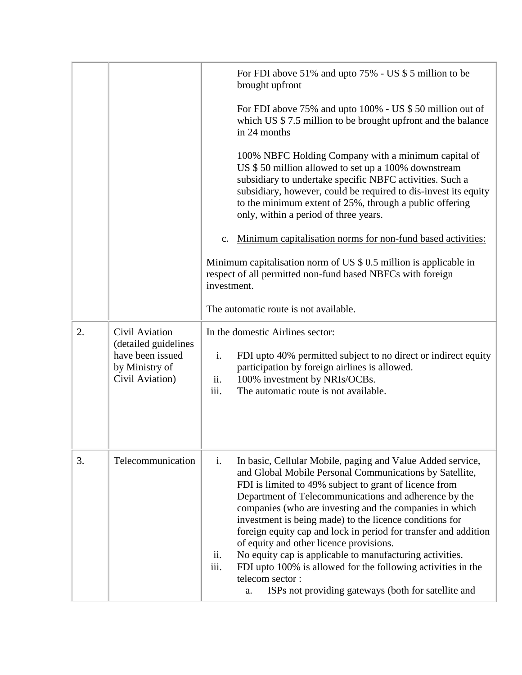|    |                                                                                                 | For FDI above 51% and upto 75% - US \$ 5 million to be<br>brought upfront                                                                                                                                                                                                                                                                                                                                                                                                                                                                                                                                                                                                                                     |
|----|-------------------------------------------------------------------------------------------------|---------------------------------------------------------------------------------------------------------------------------------------------------------------------------------------------------------------------------------------------------------------------------------------------------------------------------------------------------------------------------------------------------------------------------------------------------------------------------------------------------------------------------------------------------------------------------------------------------------------------------------------------------------------------------------------------------------------|
|    |                                                                                                 | For FDI above 75% and upto 100% - US \$ 50 million out of<br>which US $$7.5$ million to be brought upfront and the balance<br>in 24 months                                                                                                                                                                                                                                                                                                                                                                                                                                                                                                                                                                    |
|    |                                                                                                 | 100% NBFC Holding Company with a minimum capital of<br>US \$50 million allowed to set up a 100% downstream<br>subsidiary to undertake specific NBFC activities. Such a<br>subsidiary, however, could be required to dis-invest its equity<br>to the minimum extent of 25%, through a public offering<br>only, within a period of three years.                                                                                                                                                                                                                                                                                                                                                                 |
|    |                                                                                                 | Minimum capitalisation norms for non-fund based activities:<br>$\mathbf{c}$ .                                                                                                                                                                                                                                                                                                                                                                                                                                                                                                                                                                                                                                 |
|    |                                                                                                 | Minimum capitalisation norm of US $$0.5$ million is applicable in<br>respect of all permitted non-fund based NBFCs with foreign<br>investment.                                                                                                                                                                                                                                                                                                                                                                                                                                                                                                                                                                |
|    |                                                                                                 | The automatic route is not available.                                                                                                                                                                                                                                                                                                                                                                                                                                                                                                                                                                                                                                                                         |
| 2. | Civil Aviation<br>(detailed guidelines<br>have been issued<br>by Ministry of<br>Civil Aviation) | In the domestic Airlines sector:<br>i.<br>FDI upto 40% permitted subject to no direct or indirect equity<br>participation by foreign airlines is allowed.<br>100% investment by NRIs/OCBs.<br>ii.<br>iii.<br>The automatic route is not available.                                                                                                                                                                                                                                                                                                                                                                                                                                                            |
| 3. | Telecommunication                                                                               | i.<br>In basic, Cellular Mobile, paging and Value Added service,<br>and Global Mobile Personal Communications by Satellite,<br>FDI is limited to 49% subject to grant of licence from<br>Department of Telecommunications and adherence by the<br>companies (who are investing and the companies in which<br>investment is being made) to the licence conditions for<br>foreign equity cap and lock in period for transfer and addition<br>of equity and other licence provisions.<br>ii.<br>No equity cap is applicable to manufacturing activities.<br>iii.<br>FDI upto 100% is allowed for the following activities in the<br>telecom sector:<br>ISPs not providing gateways (both for satellite and<br>a. |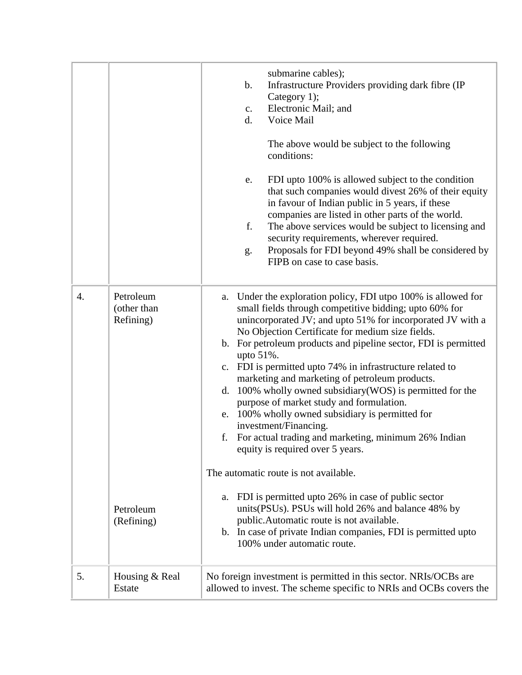|    |                                       | submarine cables);<br>$\mathbf b$ .<br>Infrastructure Providers providing dark fibre (IP)<br>Category 1);<br>Electronic Mail; and<br>$\mathbf{c}$ .<br>d.<br>Voice Mail<br>The above would be subject to the following<br>conditions:<br>FDI upto 100% is allowed subject to the condition<br>e.<br>that such companies would divest 26% of their equity<br>in favour of Indian public in 5 years, if these<br>companies are listed in other parts of the world.<br>f.<br>The above services would be subject to licensing and<br>security requirements, wherever required.<br>Proposals for FDI beyond 49% shall be considered by<br>g.<br>FIPB on case to case basis.                                                                                                           |
|----|---------------------------------------|-----------------------------------------------------------------------------------------------------------------------------------------------------------------------------------------------------------------------------------------------------------------------------------------------------------------------------------------------------------------------------------------------------------------------------------------------------------------------------------------------------------------------------------------------------------------------------------------------------------------------------------------------------------------------------------------------------------------------------------------------------------------------------------|
| 4. | Petroleum<br>(other than<br>Refining) | Under the exploration policy, FDI utpo 100% is allowed for<br>a.<br>small fields through competitive bidding; upto 60% for<br>unincorporated JV; and upto 51% for incorporated JV with a<br>No Objection Certificate for medium size fields.<br>b. For petroleum products and pipeline sector, FDI is permitted<br>upto $51\%$ .<br>c. FDI is permitted upto 74% in infrastructure related to<br>marketing and marketing of petroleum products.<br>d. 100% wholly owned subsidiary (WOS) is permitted for the<br>purpose of market study and formulation.<br>e. 100% wholly owned subsidiary is permitted for<br>investment/Financing.<br>For actual trading and marketing, minimum 26% Indian<br>f.<br>equity is required over 5 years.<br>The automatic route is not available. |
|    | Petroleum<br>(Refining)               | a. FDI is permitted upto 26% in case of public sector<br>units(PSUs). PSUs will hold 26% and balance 48% by<br>public. Automatic route is not available.<br>b. In case of private Indian companies, FDI is permitted upto<br>100% under automatic route.                                                                                                                                                                                                                                                                                                                                                                                                                                                                                                                          |
| 5. | Housing & Real<br>Estate              | No foreign investment is permitted in this sector. NRIs/OCBs are<br>allowed to invest. The scheme specific to NRIs and OCBs covers the                                                                                                                                                                                                                                                                                                                                                                                                                                                                                                                                                                                                                                            |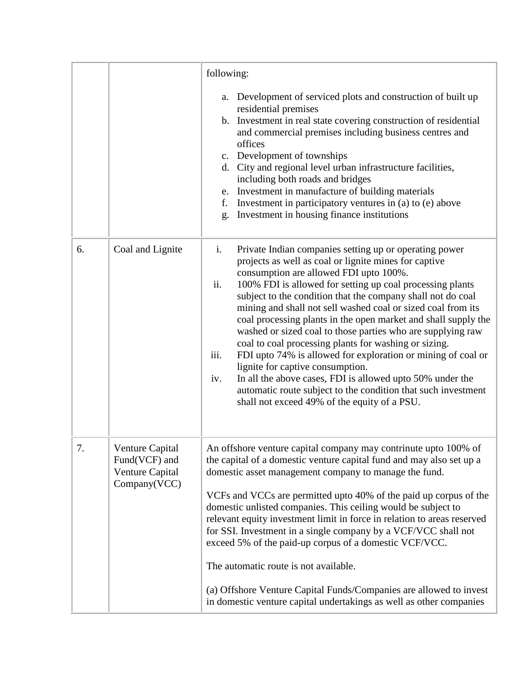|    |                                                                     | following:                                                                                                                                                                                                                                                                                                                                                                                                                                                                                                                                                                                                                                                                                                                                                                                                                                                    |
|----|---------------------------------------------------------------------|---------------------------------------------------------------------------------------------------------------------------------------------------------------------------------------------------------------------------------------------------------------------------------------------------------------------------------------------------------------------------------------------------------------------------------------------------------------------------------------------------------------------------------------------------------------------------------------------------------------------------------------------------------------------------------------------------------------------------------------------------------------------------------------------------------------------------------------------------------------|
|    |                                                                     | a. Development of serviced plots and construction of built up<br>residential premises<br>b. Investment in real state covering construction of residential<br>and commercial premises including business centres and<br>offices<br>c. Development of townships<br>d. City and regional level urban infrastructure facilities,<br>including both roads and bridges<br>e. Investment in manufacture of building materials<br>f. Investment in participatory ventures in (a) to (e) above<br>Investment in housing finance institutions<br>g.                                                                                                                                                                                                                                                                                                                     |
| 6. | Coal and Lignite                                                    | i.<br>Private Indian companies setting up or operating power<br>projects as well as coal or lignite mines for captive<br>consumption are allowed FDI upto 100%.<br>ii.<br>100% FDI is allowed for setting up coal processing plants<br>subject to the condition that the company shall not do coal<br>mining and shall not sell washed coal or sized coal from its<br>coal processing plants in the open market and shall supply the<br>washed or sized coal to those parties who are supplying raw<br>coal to coal processing plants for washing or sizing.<br>FDI upto 74% is allowed for exploration or mining of coal or<br>iii.<br>lignite for captive consumption.<br>In all the above cases, FDI is allowed upto 50% under the<br>iv.<br>automatic route subject to the condition that such investment<br>shall not exceed 49% of the equity of a PSU. |
| 7. | Venture Capital<br>Fund(VCF) and<br>Venture Capital<br>Company(VCC) | An offshore venture capital company may contrinute upto 100% of<br>the capital of a domestic venture capital fund and may also set up a<br>domestic asset management company to manage the fund.<br>VCFs and VCCs are permitted upto 40% of the paid up corpus of the<br>domestic unlisted companies. This ceiling would be subject to<br>relevant equity investment limit in force in relation to areas reserved<br>for SSI. Investment in a single company by a VCF/VCC shall not<br>exceed 5% of the paid-up corpus of a domestic VCF/VCC.<br>The automatic route is not available.<br>(a) Offshore Venture Capital Funds/Companies are allowed to invest<br>in domestic venture capital undertakings as well as other companies                                                                                                                           |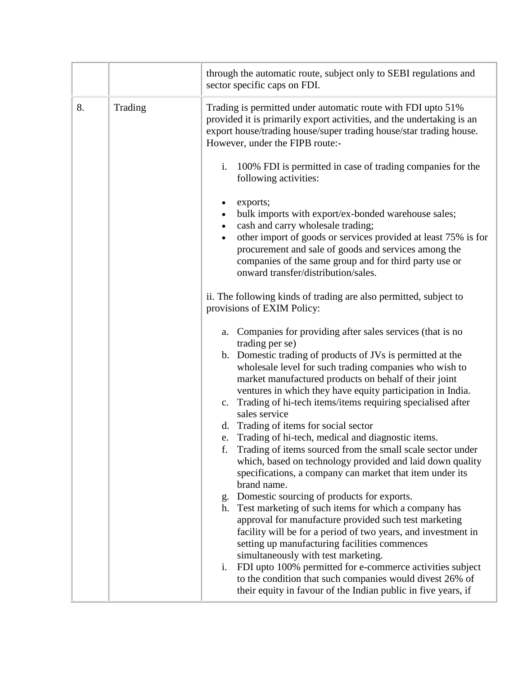|    |         | through the automatic route, subject only to SEBI regulations and<br>sector specific caps on FDI.                                                                                                                                                                                                                                                                                                                                                                                                                      |
|----|---------|------------------------------------------------------------------------------------------------------------------------------------------------------------------------------------------------------------------------------------------------------------------------------------------------------------------------------------------------------------------------------------------------------------------------------------------------------------------------------------------------------------------------|
| 8. | Trading | Trading is permitted under automatic route with FDI upto 51%<br>provided it is primarily export activities, and the undertaking is an<br>export house/trading house/super trading house/star trading house.<br>However, under the FIPB route:-                                                                                                                                                                                                                                                                         |
|    |         | i.<br>100% FDI is permitted in case of trading companies for the<br>following activities:                                                                                                                                                                                                                                                                                                                                                                                                                              |
|    |         | exports;<br>٠<br>bulk imports with export/ex-bonded warehouse sales;<br>$\bullet$<br>cash and carry wholesale trading;<br>$\bullet$<br>other import of goods or services provided at least 75% is for<br>$\bullet$<br>procurement and sale of goods and services among the<br>companies of the same group and for third party use or<br>onward transfer/distribution/sales.                                                                                                                                            |
|    |         | ii. The following kinds of trading are also permitted, subject to<br>provisions of EXIM Policy:                                                                                                                                                                                                                                                                                                                                                                                                                        |
|    |         | Companies for providing after sales services (that is no<br>a.<br>trading per se)<br>b. Domestic trading of products of JVs is permitted at the<br>wholesale level for such trading companies who wish to<br>market manufactured products on behalf of their joint<br>ventures in which they have equity participation in India.<br>Trading of hi-tech items/items requiring specialised after<br>c.<br>sales service<br>d. Trading of items for social sector<br>e. Trading of hi-tech, medical and diagnostic items. |
|    |         | f.<br>Trading of items sourced from the small scale sector under<br>which, based on technology provided and laid down quality<br>specifications, a company can market that item under its<br>brand name.                                                                                                                                                                                                                                                                                                               |
|    |         | Domestic sourcing of products for exports.<br>g.<br>h. Test marketing of such items for which a company has<br>approval for manufacture provided such test marketing<br>facility will be for a period of two years, and investment in<br>setting up manufacturing facilities commences<br>simultaneously with test marketing.                                                                                                                                                                                          |
|    |         | FDI upto 100% permitted for e-commerce activities subject<br>$\mathbf{i}$ .<br>to the condition that such companies would divest 26% of<br>their equity in favour of the Indian public in five years, if                                                                                                                                                                                                                                                                                                               |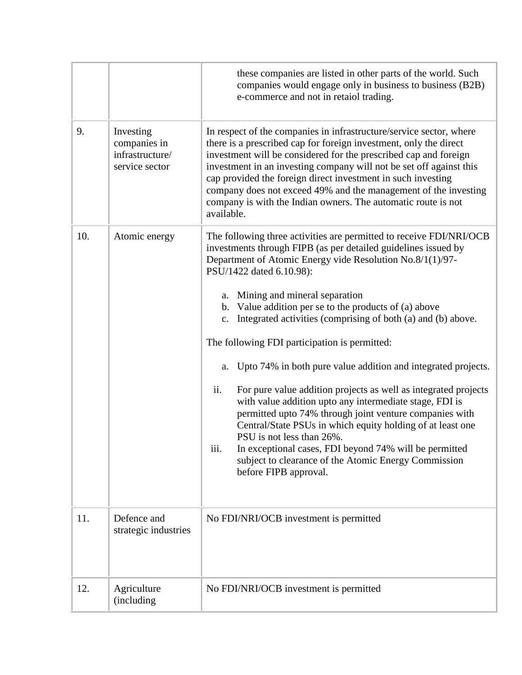|     |                                                                | these companies are listed in other parts of the world. Such<br>companies would engage only in business to business (B2B)<br>e-commerce and not in retaiol trading.                                                                                                                                                                                                                                                                                                                                                                                                                                                                                                                                                                                                                                                                                                                                                                                                  |
|-----|----------------------------------------------------------------|----------------------------------------------------------------------------------------------------------------------------------------------------------------------------------------------------------------------------------------------------------------------------------------------------------------------------------------------------------------------------------------------------------------------------------------------------------------------------------------------------------------------------------------------------------------------------------------------------------------------------------------------------------------------------------------------------------------------------------------------------------------------------------------------------------------------------------------------------------------------------------------------------------------------------------------------------------------------|
| 9.  | Investing<br>companies in<br>infrastructure/<br>service sector | In respect of the companies in infrastructure/service sector, where<br>there is a prescribed cap for foreign investment, only the direct<br>investment will be considered for the prescribed cap and foreign<br>investment in an investing company will not be set off against this<br>cap provided the foreign direct investment in such investing<br>company does not exceed 49% and the management of the investing<br>company is with the Indian owners. The automatic route is not<br>available.                                                                                                                                                                                                                                                                                                                                                                                                                                                                |
| 10. | Atomic energy                                                  | The following three activities are permitted to receive FDI/NRI/OCB<br>investments through FIPB (as per detailed guidelines issued by<br>Department of Atomic Energy vide Resolution No.8/1(1)/97-<br>PSU/1422 dated 6.10.98):<br>a. Mining and mineral separation<br>b. Value addition per se to the products of (a) above<br>c. Integrated activities (comprising of both (a) and (b) above.<br>The following FDI participation is permitted:<br>Upto 74% in both pure value addition and integrated projects.<br>a.<br>ii.<br>For pure value addition projects as well as integrated projects<br>with value addition upto any intermediate stage, FDI is<br>permitted upto 74% through joint venture companies with<br>Central/State PSUs in which equity holding of at least one<br>PSU is not less than 26%.<br>iii.<br>In exceptional cases, FDI beyond 74% will be permitted<br>subject to clearance of the Atomic Energy Commission<br>before FIPB approval. |
| 11. | Defence and<br>strategic industries                            | No FDI/NRI/OCB investment is permitted                                                                                                                                                                                                                                                                                                                                                                                                                                                                                                                                                                                                                                                                                                                                                                                                                                                                                                                               |
| 12. | Agriculture<br>(including)                                     | No FDI/NRI/OCB investment is permitted                                                                                                                                                                                                                                                                                                                                                                                                                                                                                                                                                                                                                                                                                                                                                                                                                                                                                                                               |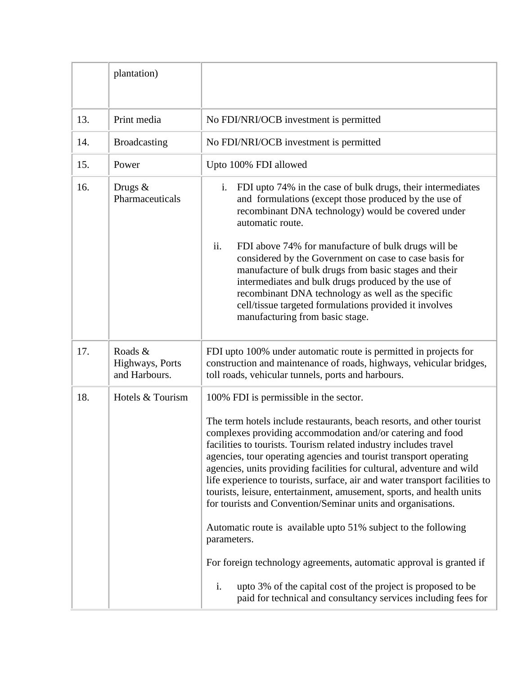|     | plantation)                                 |                                                                                                                                                                                                                                                                                                                                                                                                                                                                                                                                                                                                                                                                                                                                                                                                                                                                                                                         |
|-----|---------------------------------------------|-------------------------------------------------------------------------------------------------------------------------------------------------------------------------------------------------------------------------------------------------------------------------------------------------------------------------------------------------------------------------------------------------------------------------------------------------------------------------------------------------------------------------------------------------------------------------------------------------------------------------------------------------------------------------------------------------------------------------------------------------------------------------------------------------------------------------------------------------------------------------------------------------------------------------|
| 13. | Print media                                 | No FDI/NRI/OCB investment is permitted                                                                                                                                                                                                                                                                                                                                                                                                                                                                                                                                                                                                                                                                                                                                                                                                                                                                                  |
| 14. | <b>Broadcasting</b>                         | No FDI/NRI/OCB investment is permitted                                                                                                                                                                                                                                                                                                                                                                                                                                                                                                                                                                                                                                                                                                                                                                                                                                                                                  |
| 15. | Power                                       | Upto 100% FDI allowed                                                                                                                                                                                                                                                                                                                                                                                                                                                                                                                                                                                                                                                                                                                                                                                                                                                                                                   |
| 16. | Drugs $&$<br>Pharmaceuticals                | FDI upto 74% in the case of bulk drugs, their intermediates<br>$i$ .<br>and formulations (except those produced by the use of<br>recombinant DNA technology) would be covered under<br>automatic route.                                                                                                                                                                                                                                                                                                                                                                                                                                                                                                                                                                                                                                                                                                                 |
|     |                                             | ii.<br>FDI above 74% for manufacture of bulk drugs will be<br>considered by the Government on case to case basis for<br>manufacture of bulk drugs from basic stages and their<br>intermediates and bulk drugs produced by the use of<br>recombinant DNA technology as well as the specific<br>cell/tissue targeted formulations provided it involves<br>manufacturing from basic stage.                                                                                                                                                                                                                                                                                                                                                                                                                                                                                                                                 |
| 17. | Roads &<br>Highways, Ports<br>and Harbours. | FDI upto 100% under automatic route is permitted in projects for<br>construction and maintenance of roads, highways, vehicular bridges,<br>toll roads, vehicular tunnels, ports and harbours.                                                                                                                                                                                                                                                                                                                                                                                                                                                                                                                                                                                                                                                                                                                           |
| 18. | Hotels & Tourism                            | 100% FDI is permissible in the sector.<br>The term hotels include restaurants, beach resorts, and other tourist<br>complexes providing accommodation and/or catering and food<br>facilities to tourists. Tourism related industry includes travel<br>agencies, tour operating agencies and tourist transport operating<br>agencies, units providing facilities for cultural, adventure and wild<br>life experience to tourists, surface, air and water transport facilities to<br>tourists, leisure, entertainment, amusement, sports, and health units<br>for tourists and Convention/Seminar units and organisations.<br>Automatic route is available upto 51% subject to the following<br>parameters.<br>For foreign technology agreements, automatic approval is granted if<br>i.<br>upto 3% of the capital cost of the project is proposed to be<br>paid for technical and consultancy services including fees for |